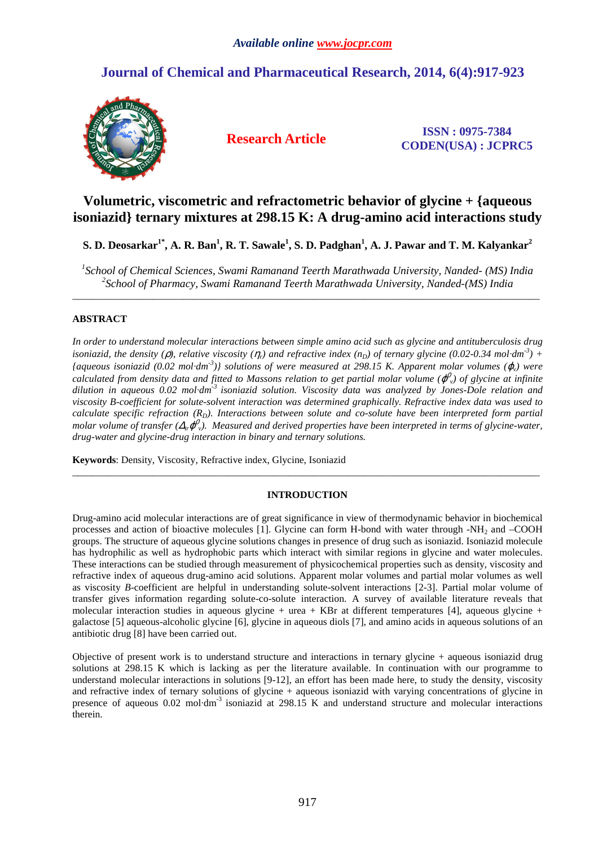# **Journal of Chemical and Pharmaceutical Research, 2014, 6(4):917-923**



**Research Article ISSN : 0975-7384 CODEN(USA) : JCPRC5**

## **Volumetric, viscometric and refractometric behavior of glycine + {aqueous isoniazid} ternary mixtures at 298.15 K: A drug-amino acid interactions study**

**S. D. Deosarkar1\*, A. R. Ban<sup>1</sup> , R. T. Sawale<sup>1</sup> , S. D. Padghan<sup>1</sup> , A. J. Pawar and T. M. Kalyankar<sup>2</sup>**

*1 School of Chemical Sciences, Swami Ramanand Teerth Marathwada University, Nanded- (MS) India 2 School of Pharmacy, Swami Ramanand Teerth Marathwada University, Nanded-(MS) India*  \_\_\_\_\_\_\_\_\_\_\_\_\_\_\_\_\_\_\_\_\_\_\_\_\_\_\_\_\_\_\_\_\_\_\_\_\_\_\_\_\_\_\_\_\_\_\_\_\_\_\_\_\_\_\_\_\_\_\_\_\_\_\_\_\_\_\_\_\_\_\_\_\_\_\_\_\_\_\_\_\_\_\_\_\_\_\_\_\_\_\_\_\_

### **ABSTRACT**

*In order to understand molecular interactions between simple amino acid such as glycine and antituberculosis drug isoniazid, the density (* $\rho$ *), relative viscosity (* $\eta_r$ *) and refractive index (* $n_p$ *) of ternary glycine (0.02-0.34 mol·<i>dm*<sup>-3</sup>) +  ${a}$ *daqueous isoniazid* (0.02 mol*·dm<sup>-3</sup>*)} solutions of were measured at 298.15 K. Apparent molar volumes ( $\varphi$ ) were calculated from density data and fitted to Massons relation to get partial molar volume ( $\varphi_\nu^0$ ) of glycine at infinite *dilution in aqueous 0.02 mol·dm-3 isoniazid solution. Viscosity data was analyzed by Jones-Dole relation and viscosity B-coefficient for solute-solvent interaction was determined graphically. Refractive index data was used to calculate specific refraction (R<sub>D</sub>). Interactions between solute and co-solute have been interpreted form partial* molar volume of transfer ( $\Delta_t$  $\phi^0$ <sub>v</sub>). Measured and derived properties have been interpreted in terms of glycine-water, *drug-water and glycine-drug interaction in binary and ternary solutions.* 

**Keywords**: Density, Viscosity, Refractive index, Glycine, Isoniazid

### **INTRODUCTION**

\_\_\_\_\_\_\_\_\_\_\_\_\_\_\_\_\_\_\_\_\_\_\_\_\_\_\_\_\_\_\_\_\_\_\_\_\_\_\_\_\_\_\_\_\_\_\_\_\_\_\_\_\_\_\_\_\_\_\_\_\_\_\_\_\_\_\_\_\_\_\_\_\_\_\_\_\_\_\_\_\_\_\_\_\_\_\_\_\_\_\_\_\_

Drug-amino acid molecular interactions are of great significance in view of thermodynamic behavior in biochemical processes and action of bioactive molecules [1]. Glycine can form H-bond with water through -NH<sub>2</sub> and –COOH groups. The structure of aqueous glycine solutions changes in presence of drug such as isoniazid. Isoniazid molecule has hydrophilic as well as hydrophobic parts which interact with similar regions in glycine and water molecules. These interactions can be studied through measurement of physicochemical properties such as density, viscosity and refractive index of aqueous drug-amino acid solutions. Apparent molar volumes and partial molar volumes as well as viscosity *B*-coefficient are helpful in understanding solute-solvent interactions [2-3]. Partial molar volume of transfer gives information regarding solute-co-solute interaction. A survey of available literature reveals that molecular interaction studies in aqueous glycine + urea + KBr at different temperatures [4], aqueous glycine + galactose [5] aqueous-alcoholic glycine [6], glycine in aqueous diols [7], and amino acids in aqueous solutions of an antibiotic drug [8] have been carried out.

Objective of present work is to understand structure and interactions in ternary glycine + aqueous isoniazid drug solutions at 298.15 K which is lacking as per the literature available. In continuation with our programme to understand molecular interactions in solutions [9-12], an effort has been made here, to study the density, viscosity and refractive index of ternary solutions of glycine + aqueous isoniazid with varying concentrations of glycine in presence of aqueous  $0.02 \text{ mol} \cdot \text{dm}^{-3}$  isoniazid at 298.15 K and understand structure and molecular interactions therein.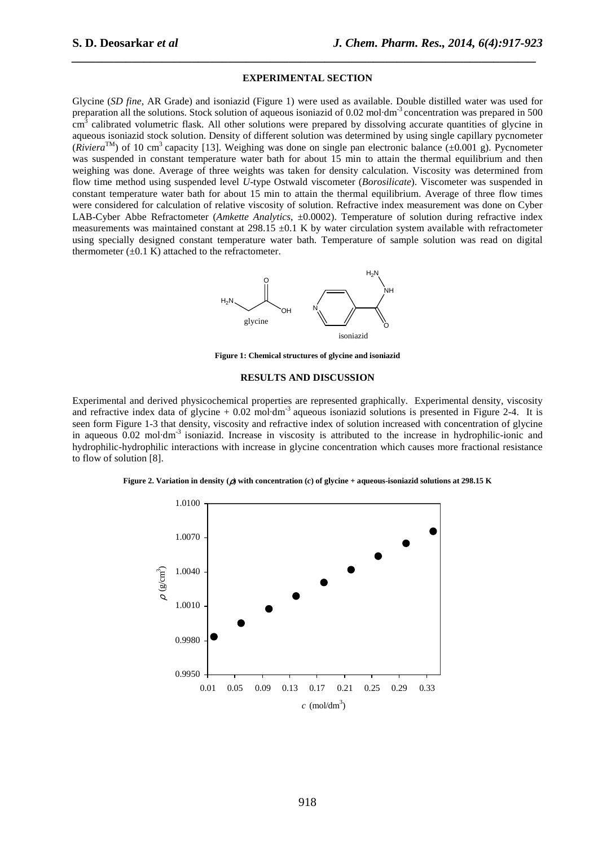#### **EXPERIMENTAL SECTION**

*\_\_\_\_\_\_\_\_\_\_\_\_\_\_\_\_\_\_\_\_\_\_\_\_\_\_\_\_\_\_\_\_\_\_\_\_\_\_\_\_\_\_\_\_\_\_\_\_\_\_\_\_\_\_\_\_\_\_\_\_\_\_\_\_\_\_\_\_\_\_\_\_\_\_\_\_\_*

Glycine (*SD fine*, AR Grade) and isoniazid (Figure 1) were used as available. Double distilled water was used for preparation all the solutions. Stock solution of aqueous isoniazid of 0.02 mol·dm-3 concentration was prepared in 500 cm<sup>3</sup> calibrated volumetric flask. All other solutions were prepared by dissolving accurate quantities of glycine in aqueous isoniazid stock solution. Density of different solution was determined by using single capillary pycnometer (*Riviera*<sup>TM</sup>) of 10 cm<sup>3</sup> capacity [13]. Weighing was done on single pan electronic balance ( $\pm 0.001$  g). Pycnometer was suspended in constant temperature water bath for about 15 min to attain the thermal equilibrium and then weighing was done. Average of three weights was taken for density calculation. Viscosity was determined from flow time method using suspended level *U*-type Ostwald viscometer (*Borosilicate*). Viscometer was suspended in constant temperature water bath for about 15 min to attain the thermal equilibrium. Average of three flow times were considered for calculation of relative viscosity of solution. Refractive index measurement was done on Cyber LAB-Cyber Abbe Refractometer (*Amkette Analytics*, ±0.0002). Temperature of solution during refractive index measurements was maintained constant at  $298.15 \pm 0.1$  K by water circulation system available with refractometer using specially designed constant temperature water bath. Temperature of sample solution was read on digital thermometer  $(\pm 0.1 \text{ K})$  attached to the refractometer.



**Figure 1: Chemical structures of glycine and isoniazid** 

#### **RESULTS AND DISCUSSION**

Experimental and derived physicochemical properties are represented graphically. Experimental density, viscosity and refractive index data of glycine  $+ 0.02$  mol·dm<sup>-3</sup> aqueous isoniazid solutions is presented in Figure 2-4. It is seen form Figure 1-3 that density, viscosity and refractive index of solution increased with concentration of glycine in aqueous  $0.02 \text{ mol} \cdot \text{dm}^{-3}$  isoniazid. Increase in viscosity is attributed to the increase in hydrophilic-ionic and hydrophilic-hydrophilic interactions with increase in glycine concentration which causes more fractional resistance to flow of solution [8].

**Figure 2. Variation in density (**ρ**) with concentration (***c***) of glycine + aqueous-isoniazid solutions at 298.15 K** 

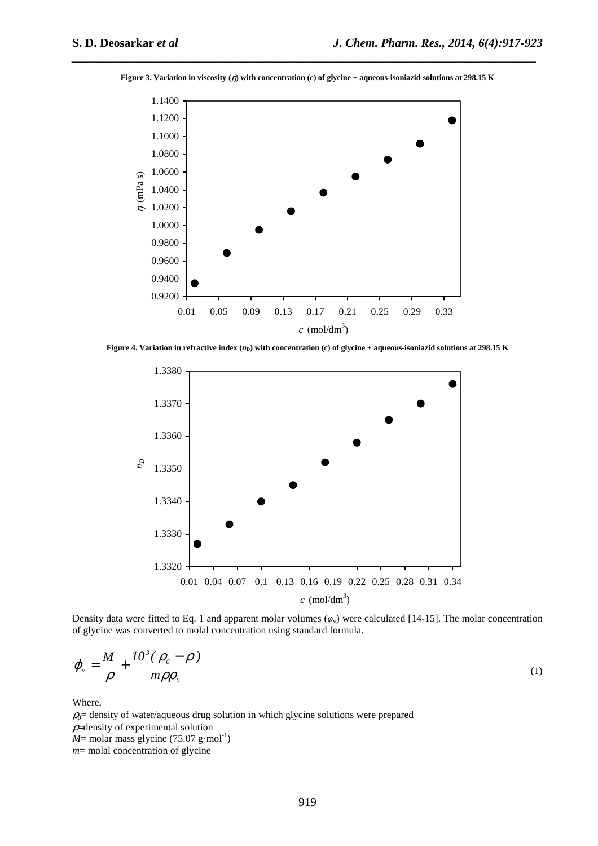

**Figure 3. Variation in viscosity (**η**) with concentration (***c***) of glycine + aqueous-isoniazid solutions at 298.15 K** 

*\_\_\_\_\_\_\_\_\_\_\_\_\_\_\_\_\_\_\_\_\_\_\_\_\_\_\_\_\_\_\_\_\_\_\_\_\_\_\_\_\_\_\_\_\_\_\_\_\_\_\_\_\_\_\_\_\_\_\_\_\_\_\_\_\_\_\_\_\_\_\_\_\_\_\_\_\_*

**Figure 4. Variation in refractive index**  $(n<sub>D</sub>)$  **with concentration (***c***) of glycine + aqueous-isoniazid solutions at 298.15 K** 



Density data were fitted to Eq. 1 and apparent molar volumes  $(\varphi_v)$  were calculated [14-15]. The molar concentration of glycine was converted to molal concentration using standard formula.

$$
\varphi_{\nu} = \frac{M}{\rho} + \frac{10^3 (\rho_o - \rho)}{m \rho \rho_o} \tag{1}
$$

Where,

 $\rho_0$ = density of water/aqueous drug solution in which glycine solutions were prepared  $\rho$ =density of experimental solution  $M$ = molar mass glycine (75.07 g·mol<sup>-1</sup>) *m*= molal concentration of glycine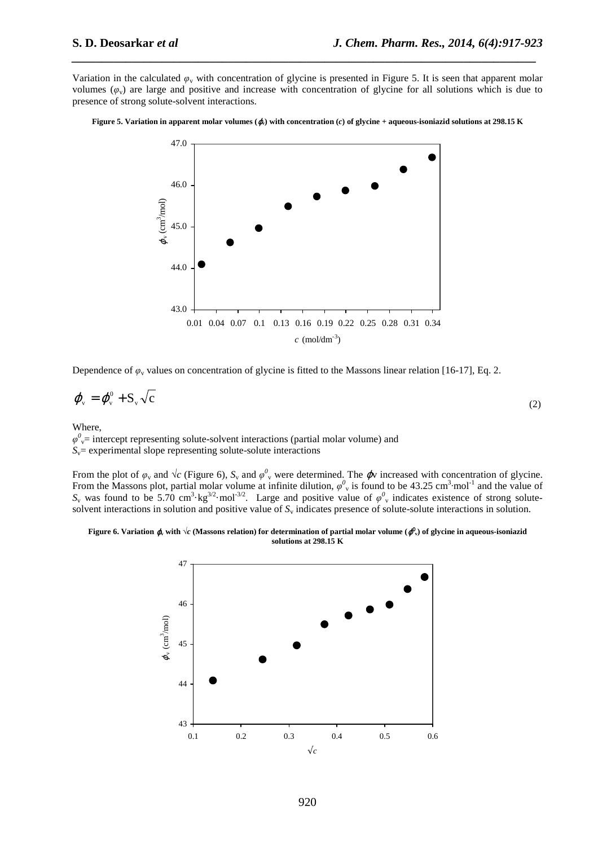Variation in the calculated  $\varphi$ <sub>v</sub> with concentration of glycine is presented in Figure 5. It is seen that apparent molar volumes  $(\varphi_v)$  are large and positive and increase with concentration of glycine for all solutions which is due to presence of strong solute-solvent interactions.

*\_\_\_\_\_\_\_\_\_\_\_\_\_\_\_\_\_\_\_\_\_\_\_\_\_\_\_\_\_\_\_\_\_\_\_\_\_\_\_\_\_\_\_\_\_\_\_\_\_\_\_\_\_\_\_\_\_\_\_\_\_\_\_\_\_\_\_\_\_\_\_\_\_\_\_\_\_*





Dependence of  $\varphi$ <sub>v</sub> values on concentration of glycine is fitted to the Massons linear relation [16-17], Eq. 2.

$$
\boldsymbol{\varphi}_{\rm v} = \boldsymbol{\varphi}_{\rm v}^0 + \mathbf{S}_{\rm v} \sqrt{\mathbf{c}} \tag{2}
$$

Where,

 $\varphi$ <sup>0</sup><sub>v</sub>= intercept representing solute-solvent interactions (partial molar volume) and  $S_v$ = experimental slope representing solute-solute interactions

From the plot of  $\varphi$ <sub>v</sub> and  $\sqrt{c}$  (Figure 6),  $S_v$  and  $\varphi^0$ <sub>v</sub> were determined. The  $\varphi$ v increased with concentration of glycine. From the Massons plot, partial molar volume at infinite dilution,  $\varphi^0$  is found to be 43.25 cm<sup>3</sup>·mol<sup>-1</sup> and the value of  $S_v$  was found to be 5.70 cm<sup>3</sup>·kg<sup>3/2</sup>·mol<sup>-3/2</sup>. Large and positive value of  $\varphi^0$ <sub>v</sub> indicates existence of strong solutesolvent interactions in solution and positive value of  $S<sub>v</sub>$  indicates presence of solute-solute interactions in solution.

#### **Figure 6. Variation**  $\phi$ **, with**  $\sqrt{c}$  **(Massons relation) for determination of partial molar volume (** $\phi^0$ **), of glycine in aqueous-isoniazid solutions at 298.15 K**

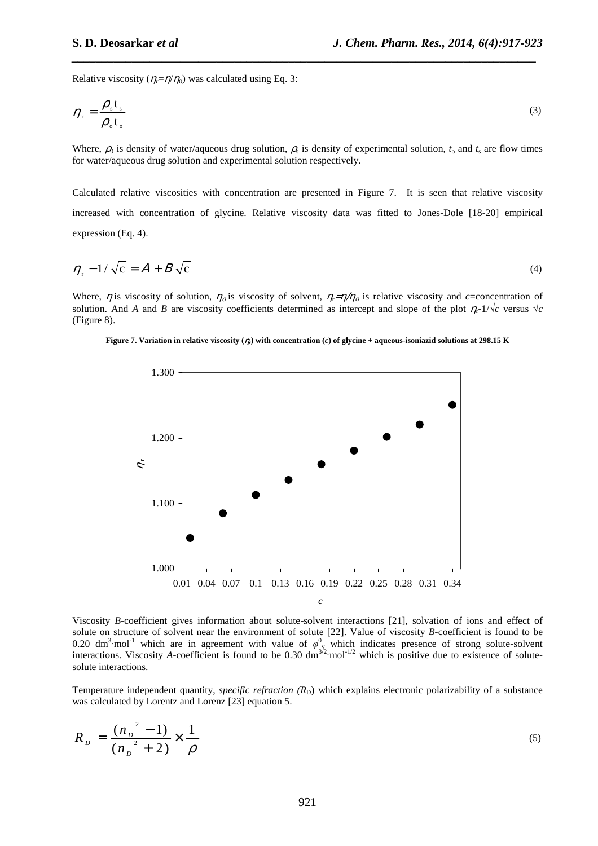Relative viscosity ( $\eta_i = \eta/\eta_0$ ) was calculated using Eq. 3:

$$
\eta_{\rm r} = \frac{\rho_{\rm s} t_{\rm s}}{\rho_{\rm o} t_{\rm o}}\tag{3}
$$

*\_\_\_\_\_\_\_\_\_\_\_\_\_\_\_\_\_\_\_\_\_\_\_\_\_\_\_\_\_\_\_\_\_\_\_\_\_\_\_\_\_\_\_\_\_\_\_\_\_\_\_\_\_\_\_\_\_\_\_\_\_\_\_\_\_\_\_\_\_\_\_\_\_\_\_\_\_*

Where,  $\rho_0$  is density of water/aqueous drug solution,  $\rho_s$  is density of experimental solution,  $t_0$  and  $t_s$  are flow times for water/aqueous drug solution and experimental solution respectively.

Calculated relative viscosities with concentration are presented in Figure 7. It is seen that relative viscosity increased with concentration of glycine. Relative viscosity data was fitted to Jones-Dole [18-20] empirical expression (Eq. 4).

$$
\eta_{\rm r} - 1/\sqrt{\rm c} = A + B\sqrt{\rm c} \tag{4}
$$

Where,  $\eta$  is viscosity of solution,  $\eta_o$  is viscosity of solvent,  $\eta_i = \eta/\eta_o$  is relative viscosity and *c*=concentration of solution. And *A* and *B* are viscosity coefficients determined as intercept and slope of the plot  $\eta_r$ -1/ $\sqrt{c}$  versus  $\sqrt{c}$ (Figure 8).





Viscosity *B-*coefficient gives information about solute-solvent interactions [21], solvation of ions and effect of solute on structure of solvent near the environment of solute [22]. Value of viscosity *B-*coefficient is found to be 0.20 dm<sup>3</sup>·mol<sup>-1</sup> which are in agreement with value of  $\varphi^0$ <sub>v</sub> which indicates presence of strong solute-solvent interactions. Viscosity *A*-coefficient is found to be 0.30  $\text{dm}^{3/2}$  $\text{mol}^{-1/2}$  which is positive due to existence of solutesolute interactions.

Temperature independent quantity, *specific refraction* (R<sub>D</sub>) which explains electronic polarizability of a substance was calculated by Lorentz and Lorenz [23] equation 5.

$$
R_{p} = \frac{(n_{p}^{2} - 1)}{(n_{p}^{2} + 2)} \times \frac{1}{\rho}
$$
 (5)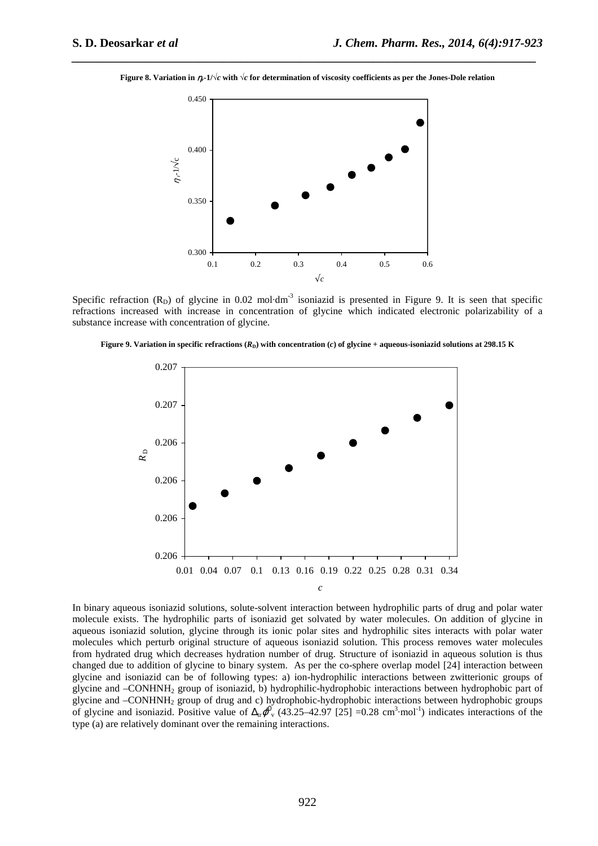**Figure 8. Variation in**  $\eta_r$ **-1/** $\sqrt{c}$  **with**  $\sqrt{c}$  **for determination of viscosity coefficients as per the Jones-Dole relation** 

*\_\_\_\_\_\_\_\_\_\_\_\_\_\_\_\_\_\_\_\_\_\_\_\_\_\_\_\_\_\_\_\_\_\_\_\_\_\_\_\_\_\_\_\_\_\_\_\_\_\_\_\_\_\_\_\_\_\_\_\_\_\_\_\_\_\_\_\_\_\_\_\_\_\_\_\_\_*



Specific refraction  $(R_D)$  of glycine in 0.02 mol·dm<sup>-3</sup> isoniazid is presented in Figure 9. It is seen that specific refractions increased with increase in concentration of glycine which indicated electronic polarizability of a substance increase with concentration of glycine.





In binary aqueous isoniazid solutions, solute-solvent interaction between hydrophilic parts of drug and polar water molecule exists. The hydrophilic parts of isoniazid get solvated by water molecules. On addition of glycine in aqueous isoniazid solution, glycine through its ionic polar sites and hydrophilic sites interacts with polar water molecules which perturb original structure of aqueous isoniazid solution. This process removes water molecules from hydrated drug which decreases hydration number of drug. Structure of isoniazid in aqueous solution is thus changed due to addition of glycine to binary system. As per the co-sphere overlap model [24] interaction between glycine and isoniazid can be of following types: a) ion-hydrophilic interactions between zwitterionic groups of glycine and –CONHNH2 group of isoniazid, b) hydrophilic-hydrophobic interactions between hydrophobic part of glycine and –CONHNH2 group of drug and c) hydrophobic-hydrophobic interactions between hydrophobic groups of glycine and isoniazid. Positive value of  $\Delta_{tr}\phi^0$  (43.25–42.97 [25] =0.28 cm<sup>3</sup>·mol<sup>-1</sup>) indicates interactions of the type (a) are relatively dominant over the remaining interactions.